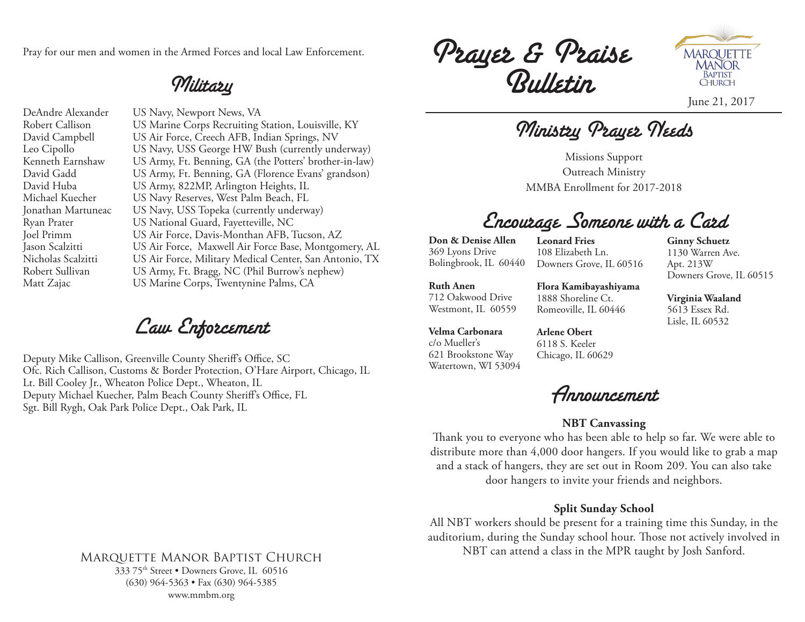Pray for our men and women in the Armed Forces and local Law Enforcement.

### Military

DeAndre Alexander US Navy, Newport News, VA Robert Callison US Marine Corps Recruiting Station, Louisville, KY David Campbell US Air Force, Creech AFB, Indian Springs, NV Leo Cipollo US Navy, USS George HW Bush (currently underway) Kenneth Earnshaw US Army, Ft. Benning, GA (the Potters' brother-in-law) David Gadd US Army, Ft. Benning, GA (Florence Evans' grandson) David Huba US Army, 822MP, Arlington Heights, IL Michael Kuecher US Navy Reserves, West Palm Beach, FL Jonathan Martuneac US Navy, USS Topeka (currently underway) Ryan Prater US National Guard, Fayetteville, NC Joel Primm US Air Force, Davis-Monthan AFB, Tucson, AZ Jason Scalzitti US Air Force, Maxwell Air Force Base, Montgomery, AL Nicholas Scalzitti US Air Force, Military Medical Center, San Antonio, TX Robert Sullivan US Army, Ft. Bragg, NC (Phil Burrow's nephew) Matt Zajac US Marine Corps, Twentynine Palms, CA

Law Enforcement

Deputy Mike Callison, Greenville County Sheriff's Office, SC Ofc. Rich Callison, Customs & Border Protection, O'Hare Airport, Chicago, IL Lt. Bill Cooley Jr., Wheaton Police Dept., Wheaton, IL Deputy Michael Kuecher, Palm Beach County Sheriff's Office, FL Sgt. Bill Rygh, Oak Park Police Dept., Oak Park, IL

#### Marquette Manor Baptist Church 333 75th Street • Downers Grove, IL 60516 (630) 964-5363 • Fax (630) 964-5385

www.mmbm.org

Prayer & Praise Bulletin



June 21, 2017

Ministry Prayer Needs

Missions Support Outreach Ministry MMBA Enrollment for 2017-2018

## Encourage Someone with a Card

**Don & Denise Allen** 369 Lyons Drive Bolingbrook, IL 60440

**Leonard Fries** 108 Elizabeth Ln. Downers Grove, IL 60516

**Ginny Schuetz** Downers Grove, IL 60515

**Ruth Anen** 712 Oakwood Drive Westmont, IL 60559

**Flora Kamibayashiyama** 1888 Shoreline Ct. Romeoville, IL 60446

**Velma Carbonara** c/o Mueller's 621 Brookstone Way Watertown, WI 53094

**Arlene Obert** 6118 S. Keeler Chicago, IL 60629

Announcement

### **NBT Canvassing**

Thank you to everyone who has been able to help so far. We were able to distribute more than 4,000 door hangers. If you would like to grab a map and a stack of hangers, they are set out in Room 209. You can also take door hangers to invite your friends and neighbors.

### **Split Sunday School**

All NBT workers should be present for a training time this Sunday, in the auditorium, during the Sunday school hour. Those not actively involved in NBT can attend a class in the MPR taught by Josh Sanford.

1130 Warren Ave. Apt. 213W

**Virginia Waaland** 5613 Essex Rd. Lisle, IL 60532